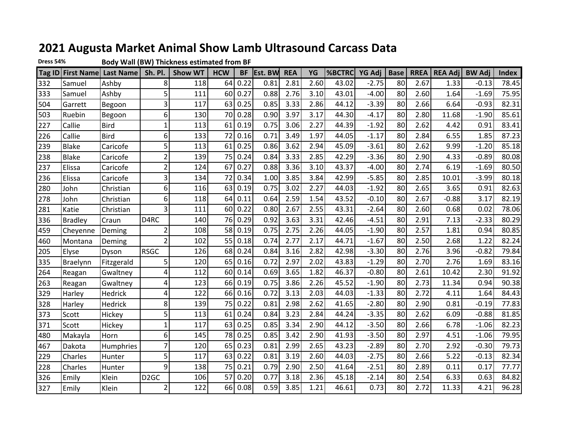## **2021 Augusta Market Animal Show Lamb Ultrasound Carcass Data**

**Dress 54%**

**Body Wall (BW) Thickness estimated from BF**

|     |                | Tag ID First Name Last Name | Sh. Pl.           | <b>Show WT</b> | <b>HCW</b> | <b>BF</b> | Est. BW | <b>REA</b> | YG   | %BCTRC | YG Adj  | <b>Base</b> | <b>RREA</b> | <b>REA Adj</b> | <b>BW Adj</b> | <b>Index</b> |
|-----|----------------|-----------------------------|-------------------|----------------|------------|-----------|---------|------------|------|--------|---------|-------------|-------------|----------------|---------------|--------------|
| 332 | Samuel         | Ashby                       | 8                 | 118            | 64         | 0.22      | 0.81    | 2.81       | 2.60 | 43.02  | $-2.75$ | 80          | 2.67        | 1.33           | $-0.13$       | 78.45        |
| 333 | Samuel         | Ashby                       | 5                 | 111            | 60         | 0.27      | 0.88    | 2.76       | 3.10 | 43.01  | $-4.00$ | 80          | 2.60        | 1.64           | $-1.69$       | 75.95        |
| 504 | Garrett        | Begoon                      | 3                 | 117            | 63         | 0.25      | 0.85    | 3.33       | 2.86 | 44.12  | $-3.39$ | 80          | 2.66        | 6.64           | $-0.93$       | 82.31        |
| 503 | Ruebin         | Begoon                      | 6                 | 130            | 70         | 0.28      | 0.90    | 3.97       | 3.17 | 44.30  | $-4.17$ | 80          | 2.80        | 11.68          | $-1.90$       | 85.61        |
| 227 | Callie         | <b>Bird</b>                 | 1                 | 113            | 61         | 0.19      | 0.75    | 3.06       | 2.27 | 44.39  | $-1.92$ | 80          | 2.62        | 4.42           | 0.91          | 83.41        |
| 226 | Callie         | <b>Bird</b>                 | 6                 | 133            | 72         | 0.16      | 0.71    | 3.49       | 1.97 | 44.05  | $-1.17$ | 80          | 2.84        | 6.55           | 1.85          | 87.23        |
| 239 | <b>Blake</b>   | Caricofe                    | 5                 | 113            | 61         | 0.25      | 0.86    | 3.62       | 2.94 | 45.09  | $-3.61$ | 80          | 2.62        | 9.99           | $-1.20$       | 85.18        |
| 238 | <b>Blake</b>   | Caricofe                    | 2                 | 139            | 75         | 0.24      | 0.84    | 3.33       | 2.85 | 42.29  | $-3.36$ | 80          | 2.90        | 4.33           | $-0.89$       | 80.08        |
| 237 | Elissa         | Caricofe                    | 2                 | 124            | 67         | 0.27      | 0.88    | 3.36       | 3.10 | 43.37  | $-4.00$ | 80          | 2.74        | 6.19           | $-1.69$       | 80.50        |
| 236 | Elissa         | Caricofe                    | 3                 | 134            | 72         | 0.34      | 1.00    | 3.85       | 3.84 | 42.99  | $-5.85$ | 80          | 2.85        | 10.01          | $-3.99$       | 80.18        |
| 280 | John           | Christian                   | 6                 | 116            | 63         | 0.19      | 0.75    | 3.02       | 2.27 | 44.03  | $-1.92$ | 80          | 2.65        | 3.65           | 0.91          | 82.63        |
| 278 | John           | Christian                   | 6                 | 118            | 64         | 0.11      | 0.64    | 2.59       | 1.54 | 43.52  | $-0.10$ | 80          | 2.67        | $-0.88$        | 3.17          | 82.19        |
| 281 | Katie          | Christian                   | 3                 | 111            | 60         | 0.22      | 0.80    | 2.67       | 2.55 | 43.31  | $-2.64$ | 80          | 2.60        | 0.68           | 0.02          | 78.06        |
| 336 | <b>Bradley</b> | Craun                       | D <sub>4</sub> RC | 140            | 76         | 0.29      | 0.92    | 3.63       | 3.31 | 42.46  | $-4.51$ | 80          | 2.91        | 7.13           | $-2.33$       | 80.29        |
| 459 | Cheyenne       | Deming                      | 2                 | 108            | 58         | 0.19      | 0.75    | 2.75       | 2.26 | 44.05  | $-1.90$ | 80          | 2.57        | 1.81           | 0.94          | 80.85        |
| 460 | Montana        | Deming                      | $\overline{2}$    | 102            | 55         | 0.18      | 0.74    | 2.77       | 2.17 | 44.71  | $-1.67$ | 80          | 2.50        | 2.68           | 1.22          | 82.24        |
| 205 | Elyse          | Dyson                       | <b>RSGC</b>       | 126            | 68         | 0.24      | 0.84    | 3.16       | 2.82 | 42.98  | $-3.30$ | 80          | 2.76        | 3.96           | $-0.82$       | 79.84        |
| 335 | Braelynn       | Fitzgerald                  | 5                 | 120            | 65         | 0.16      | 0.72    | 2.97       | 2.02 | 43.83  | $-1.29$ | 80          | 2.70        | 2.76           | 1.69          | 83.16        |
| 264 | Reagan         | Gwaltney                    | 4                 | 112            | 60         | 0.14      | 0.69    | 3.65       | 1.82 | 46.37  | $-0.80$ | 80          | 2.61        | 10.42          | 2.30          | 91.92        |
| 263 | Reagan         | Gwaltney                    | 4                 | 123            | 66         | 0.19      | 0.75    | 3.86       | 2.26 | 45.52  | $-1.90$ | 80          | 2.73        | 11.34          | 0.94          | 90.38        |
| 329 | Harley         | Hedrick                     | 4                 | 122            | 66         | 0.16      | 0.72    | 3.13       | 2.03 | 44.03  | $-1.33$ | 80          | 2.72        | 4.11           | 1.64          | 84.43        |
| 328 | Harley         | Hedrick                     | 8                 | 139            | 75         | 0.22      | 0.81    | 2.98       | 2.62 | 41.65  | $-2.80$ | 80          | 2.90        | 0.81           | $-0.19$       | 77.83        |
| 373 | Scott          | Hickey                      | 5                 | 113            | 61         | 0.24      | 0.84    | 3.23       | 2.84 | 44.24  | $-3.35$ | 80          | 2.62        | 6.09           | $-0.88$       | 81.85        |
| 371 | Scott          | Hickey                      | 1                 | 117            | 63         | 0.25      | 0.85    | 3.34       | 2.90 | 44.12  | $-3.50$ | 80          | 2.66        | 6.78           | $-1.06$       | 82.23        |
| 480 | Makayla        | Horn                        | 6                 | 145            | 78         | 0.25      | 0.85    | 3.42       | 2.90 | 41.93  | $-3.50$ | 80          | 2.97        | 4.51           | $-1.06$       | 79.95        |
| 467 | Dakota         | Humphries                   | $\overline{7}$    | 120            | 65         | 0.23      | 0.81    | 2.99       | 2.65 | 43.23  | $-2.89$ | 80          | 2.70        | 2.92           | $-0.30$       | 79.73        |
| 229 | Charles        | Hunter                      | 5                 | 117            | 63         | 0.22      | 0.81    | 3.19       | 2.60 | 44.03  | $-2.75$ | 80          | 2.66        | 5.22           | $-0.13$       | 82.34        |
| 228 | Charles        | Hunter                      | 9                 | 138            | 75         | 0.21      | 0.79    | 2.90       | 2.50 | 41.64  | $-2.51$ | 80          | 2.89        | 0.11           | 0.17          | 77.77        |
| 326 | Emily          | Klein                       | D <sub>2</sub> GC | 106            | 57         | 0.20      | 0.77    | 3.18       | 2.36 | 45.18  | $-2.14$ | 80          | 2.54        | 6.33           | 0.63          | 84.82        |
| 327 | Emily          | Klein                       | 2                 | 122            | 66         | 0.08      | 0.59    | 3.85       | 1.21 | 46.61  | 0.73    | 80          | 2.72        | 11.33          | 4.21          | 96.28        |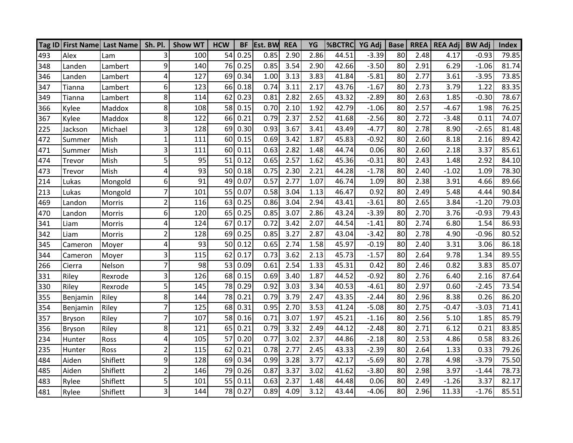|     |          | Tag ID First Name Last Name   Sh. Pl. |                | <b>Show WT</b> | <b>HCW</b> | <b>BF</b> | <b>Est. BW</b> | <b>REA</b> | YG   | <b>%BCTRC</b> YG Adj |         | <b>Base</b> |      | <b>RREA   REA Adj</b> | <b>BW Adj</b> | <b>Index</b> |
|-----|----------|---------------------------------------|----------------|----------------|------------|-----------|----------------|------------|------|----------------------|---------|-------------|------|-----------------------|---------------|--------------|
| 493 | Alex     | Lam                                   | 3              | 100            | 54         | 0.25      | 0.85           | 2.90       | 2.86 | 44.51                | $-3.39$ | 80          | 2.48 | 4.17                  | $-0.93$       | 79.85        |
| 348 | Landen   | Lambert                               | 9              | 140            | 76         | 0.25      | 0.85           | 3.54       | 2.90 | 42.66                | $-3.50$ | 80          | 2.91 | 6.29                  | $-1.06$       | 81.74        |
| 346 | Landen   | Lambert                               | 4              | 127            | 69         | 0.34      | 1.00           | 3.13       | 3.83 | 41.84                | $-5.81$ | 80          | 2.77 | 3.61                  | $-3.95$       | 73.85        |
| 347 | Tianna   | Lambert                               | 6              | 123            | 66         | 0.18      | 0.74           | 3.11       | 2.17 | 43.76                | $-1.67$ | 80          | 2.73 | 3.79                  | 1.22          | 83.35        |
| 349 | Tianna   | Lambert                               | 8              | 114            | 62         | 0.23      | 0.81           | 2.82       | 2.65 | 43.32                | $-2.89$ | 80          | 2.63 | 1.85                  | $-0.30$       | 78.67        |
| 366 | Kylee    | Maddox                                | 8              | 108            | 58         | 0.15      | 0.70           | 2.10       | 1.92 | 42.79                | $-1.06$ | 80          | 2.57 | $-4.67$               | 1.98          | 76.25        |
| 367 | Kylee    | Maddox                                | 8              | 122            | 66         | 0.21      | 0.79           | 2.37       | 2.52 | 41.68                | $-2.56$ | 80          | 2.72 | $-3.48$               | 0.11          | 74.07        |
| 225 | Jackson  | Michael                               | 3              | 128            | 69         | 0.30      | 0.93           | 3.67       | 3.41 | 43.49                | $-4.77$ | 80          | 2.78 | 8.90                  | $-2.65$       | 81.48        |
| 472 | Summer   | Mish                                  | $\mathbf{1}$   | 111            | 60         | 0.15      | 0.69           | 3.42       | 1.87 | 45.83                | $-0.92$ | 80          | 2.60 | 8.18                  | 2.16          | 89.42        |
| 471 | Summer   | Mish                                  | 3              | 111            | 60         | 0.11      | 0.63           | 2.82       | 1.48 | 44.74                | 0.06    | 80          | 2.60 | 2.18                  | 3.37          | 85.61        |
| 474 | Trevor   | Mish                                  | 5              | 95             | 51         | 0.12      | 0.65           | 2.57       | 1.62 | 45.36                | $-0.31$ | 80          | 2.43 | 1.48                  | 2.92          | 84.10        |
| 473 | Trevor   | Mish                                  | 4              | 93             | 50         | 0.18      | 0.75           | 2.30       | 2.21 | 44.28                | $-1.78$ | 80          | 2.40 | $-1.02$               | 1.09          | 78.30        |
| 214 | Lukas    | Mongold                               | 6              | 91             | 49         | 0.07      | 0.57           | 2.77       | 1.07 | 46.74                | 1.09    | 80          | 2.38 | 3.91                  | 4.66          | 89.66        |
| 213 | Lukas    | Mongold                               | $\overline{7}$ | 101            | 55         | 0.07      | 0.58           | 3.04       | 1.13 | 46.47                | 0.92    | 80          | 2.49 | 5.48                  | 4.44          | 90.84        |
| 469 | Landon   | Morris                                | $\overline{2}$ | 116            | 63         | 0.25      | 0.86           | 3.04       | 2.94 | 43.41                | $-3.61$ | 80          | 2.65 | 3.84                  | $-1.20$       | 79.03        |
| 470 | Landon   | Morris                                | 6              | 120            | 65         | 0.25      | 0.85           | 3.07       | 2.86 | 43.24                | $-3.39$ | 80          | 2.70 | 3.76                  | $-0.93$       | 79.43        |
| 341 | Liam     | Morris                                | 4              | 124            | 67         | 0.17      | 0.72           | 3.42       | 2.07 | 44.54                | $-1.41$ | 80          | 2.74 | 6.80                  | 1.54          | 86.93        |
| 342 | Liam     | Morris                                | $\overline{2}$ | 128            | 69         | 0.25      | 0.85           | 3.27       | 2.87 | 43.04                | $-3.42$ | 80          | 2.78 | 4.90                  | $-0.96$       | 80.52        |
| 345 | Cameron  | Moyer                                 | 4              | 93             | 50         | 0.12      | 0.65           | 2.74       | 1.58 | 45.97                | $-0.19$ | 80          | 2.40 | 3.31                  | 3.06          | 86.18        |
| 344 | Cameron  | Moyer                                 | 3              | 115            | 62         | 0.17      | 0.73           | 3.62       | 2.13 | 45.73                | $-1.57$ | 80          | 2.64 | 9.78                  | 1.34          | 89.55        |
| 266 | Cierra   | Nelson                                | $\overline{7}$ | 98             | 53         | 0.09      | 0.61           | 2.54       | 1.33 | 45.31                | 0.42    | 80          | 2.46 | 0.82                  | 3.83          | 85.07        |
| 331 | Riley    | Rexrode                               | 3              | 126            | 68         | 0.15      | 0.69           | 3.40       | 1.87 | 44.52                | $-0.92$ | 80          | 2.76 | 6.40                  | 2.16          | 87.64        |
| 330 | Riley    | Rexrode                               | 5              | 145            | 78         | 0.29      | 0.92           | 3.03       | 3.34 | 40.53                | $-4.61$ | 80          | 2.97 | 0.60                  | $-2.45$       | 73.54        |
| 355 | Benjamin | Riley                                 | 8              | 144            | 78         | 0.21      | 0.79           | 3.79       | 2.47 | 43.35                | $-2.44$ | 80          | 2.96 | 8.38                  | 0.26          | 86.20        |
| 354 | Benjamin | Riley                                 | 7              | 125            | 68         | 0.31      | 0.95           | 2.70       | 3.53 | 41.24                | $-5.08$ | 80          | 2.75 | $-0.47$               | $-3.03$       | 71.41        |
| 357 | Bryson   | Riley                                 | $\overline{7}$ | 107            | 58         | 0.16      | 0.71           | 3.07       | 1.97 | 45.21                | $-1.16$ | 80          | 2.56 | 5.10                  | 1.85          | 85.79        |
| 356 | Bryson   | Riley                                 | 8              | 121            | 65         | 0.21      | 0.79           | 3.32       | 2.49 | 44.12                | $-2.48$ | 80          | 2.71 | 6.12                  | 0.21          | 83.85        |
| 234 | Hunter   | Ross                                  | 4              | 105            | 57         | 0.20      | 0.77           | 3.02       | 2.37 | 44.86                | $-2.18$ | 80          | 2.53 | 4.86                  | 0.58          | 83.26        |
| 235 | Hunter   | Ross                                  | $\overline{2}$ | 115            | 62         | 0.21      | 0.78           | 2.77       | 2.45 | 43.33                | $-2.39$ | 80          | 2.64 | 1.33                  | 0.33          | 79.26        |
| 484 | Aiden    | Shiflett                              | 9              | 128            | 69         | 0.34      | 0.99           | 3.28       | 3.77 | 42.17                | $-5.69$ | 80          | 2.78 | 4.98                  | $-3.79$       | 75.50        |
| 485 | Aiden    | Shiflett                              | $\overline{2}$ | 146            | 79         | 0.26      | 0.87           | 3.37       | 3.02 | 41.62                | $-3.80$ | 80          | 2.98 | 3.97                  | $-1.44$       | 78.73        |
| 483 | Rylee    | Shiflett                              | 5              | 101            | 55         | 0.11      | 0.63           | 2.37       | 1.48 | 44.48                | 0.06    | 80          | 2.49 | $-1.26$               | 3.37          | 82.17        |
| 481 | Rylee    | Shiflett                              | 3              | 144            |            | 78 0.27   | 0.89           | 4.09       | 3.12 | 43.44                | $-4.06$ | 80          | 2.96 | 11.33                 | $-1.76$       | 85.51        |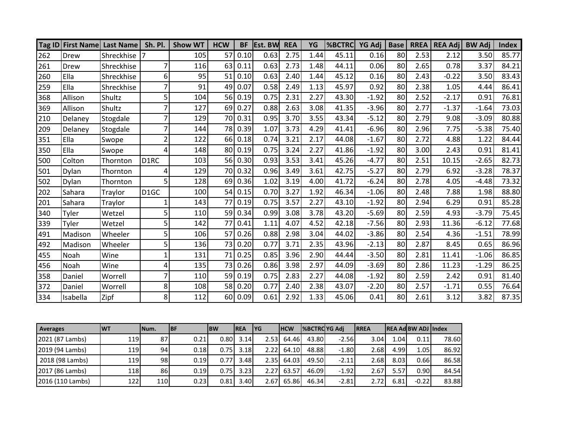|     |          | Tag ID First Name Last Name | Sh. Pl.           | <b>Show WT</b> | <b>HCW</b> | <b>BF</b> | <b>Est. BW</b> | <b>REA</b> | YG   | <b>%BCTRC</b> | <b>YG Adj</b> | <b>Base</b> | <b>RREA</b> | <b>REA Adj</b> | <b>BW Adi</b> | <b>Index</b> |
|-----|----------|-----------------------------|-------------------|----------------|------------|-----------|----------------|------------|------|---------------|---------------|-------------|-------------|----------------|---------------|--------------|
| 262 | Drew     | Shreckhise                  |                   | 105            | 57         | 0.10      | 0.63           | 2.75       | 1.44 | 45.11         | 0.16          | 80          | 2.53        | 2.12           | 3.50          | 85.77        |
| 261 | Drew     | Shreckhise                  |                   | 116            | 63         | 0.11      | 0.63           | 2.73       | 1.48 | 44.11         | 0.06          | 80          | 2.65        | 0.78           | 3.37          | 84.21        |
| 260 | Ella     | Shreckhise                  | 6                 | 95             | 51         | 0.10      | 0.63           | 2.40       | 1.44 | 45.12         | 0.16          | 80          | 2.43        | $-0.22$        | 3.50          | 83.43        |
| 259 | Ella     | Shreckhise                  |                   | 91             | 49         | 0.07      | 0.58           | 2.49       | 1.13 | 45.97         | 0.92          | 80          | 2.38        | 1.05           | 4.44          | 86.41        |
| 368 | Allison  | Shultz                      | 5                 | 104            | 56         | 0.19      | 0.75           | 2.31       | 2.27 | 43.30         | $-1.92$       | 80          | 2.52        | $-2.17$        | 0.91          | 76.81        |
| 369 | Allison  | Shultz                      |                   | 127            | 69         | 0.27      | 0.88           | 2.63       | 3.08 | 41.35         | $-3.96$       | 80          | 2.77        | $-1.37$        | $-1.64$       | 73.03        |
| 210 | Delaney  | Stogdale                    |                   | 129            | 70         | 0.31      | 0.95           | 3.70       | 3.55 | 43.34         | $-5.12$       | 80          | 2.79        | 9.08           | $-3.09$       | 80.88        |
| 209 | Delaney  | Stogdale                    |                   | 144            | 78         | 0.39      | 1.07           | 3.73       | 4.29 | 41.41         | $-6.96$       | 80          | 2.96        | 7.75           | $-5.38$       | 75.40        |
| 351 | Ella     | Swope                       |                   | 122            | 66         | 0.18      | 0.74           | 3.21       | 2.17 | 44.08         | $-1.67$       | 80          | 2.72        | 4.88           | 1.22          | 84.44        |
| 350 | Ella     | Swope                       | 4                 | 148            | 80         | 0.19      | 0.75           | 3.24       | 2.27 | 41.86         | $-1.92$       | 80          | 3.00        | 2.43           | 0.91          | 81.41        |
| 500 | Colton   | Thornton                    | D <sub>1</sub> RC | 103            | 56         | 0.30      | 0.93           | 3.53       | 3.41 | 45.26         | $-4.77$       | 80          | 2.51        | 10.15          | $-2.65$       | 82.73        |
| 501 | Dylan    | Thornton                    | 4                 | 129            | 70         | 0.32      | 0.96           | 3.49       | 3.61 | 42.75         | $-5.27$       | 80          | 2.79        | 6.92           | $-3.28$       | 78.37        |
| 502 | Dylan    | Thornton                    | 5                 | 128            | 69         | 0.36      | 1.02           | 3.19       | 4.00 | 41.72         | $-6.24$       | 80          | 2.78        | 4.05           | $-4.48$       | 73.32        |
| 202 | Sahara   | Traylor                     | D <sub>1GC</sub>  | 100            | 54         | 0.15      | 0.70           | 3.27       | 1.92 | 46.34         | $-1.06$       | 80          | 2.48        | 7.88           | 1.98          | 88.80        |
| 201 | Sahara   | Traylor                     |                   | 143            | 77         | 0.19      | 0.75           | 3.57       | 2.27 | 43.10         | $-1.92$       | 80          | 2.94        | 6.29           | 0.91          | 85.28        |
| 340 | Tyler    | Wetzel                      |                   | 110            | 59         | 0.34      | 0.99           | 3.08       | 3.78 | 43.20         | $-5.69$       | 80          | 2.59        | 4.93           | $-3.79$       | 75.45        |
| 339 | Tyler    | Wetzel                      |                   | 142            | 77         | 0.41      | 1.11           | 4.07       | 4.52 | 42.18         | $-7.56$       | 80          | 2.93        | 11.36          | $-6.12$       | 77.68        |
| 491 | Madison  | Wheeler                     |                   | 106            | 57         | 0.26      | 0.88           | 2.98       | 3.04 | 44.02         | $-3.86$       | 80          | 2.54        | 4.36           | $-1.51$       | 78.99        |
| 492 | Madison  | Wheeler                     |                   | 136            | 73         | 0.20      | 0.77           | 3.71       | 2.35 | 43.96         | $-2.13$       | 80          | 2.87        | 8.45           | 0.65          | 86.96        |
| 455 | Noah     | Wine                        |                   | 131            | 71         | 0.25      | 0.85           | 3.96       | 2.90 | 44.44         | $-3.50$       | 80          | 2.81        | 11.41          | $-1.06$       | 86.85        |
| 456 | Noah     | Wine                        | 4                 | 135            | 73         | 0.26      | 0.86           | 3.98       | 2.97 | 44.09         | $-3.69$       | 80          | 2.86        | 11.23          | $-1.29$       | 86.25        |
| 358 | Daniel   | Worrell                     |                   | 110            | 59         | 0.19      | 0.75           | 2.83       | 2.27 | 44.08         | $-1.92$       | 80          | 2.59        | 2.42           | 0.91          | 81.40        |
| 372 | Daniel   | Worrell                     | 8                 | 108            | 58         | 0.20      | 0.77           | 2.40       | 2.38 | 43.07         | $-2.20$       | 80          | 2.57        | $-1.71$        | 0.55          | 76.64        |
| 334 | Isabella | Zipf                        | 8                 | 112            | 60         | 0.09      | 0.61           | 2.92       | 1.33 | 45.06         | 0.41          | 80          | 2.61        | 3.12           | 3.82          | 87.35        |

| <b>Averages</b>  | <b>WT</b> | INum.     | <b>IBF</b> | <b>BW</b> | <b>IREA</b> | <b>IYG</b> | <b>IHCW</b> | <b>SBCTROYG Adi</b> |         | <b>IRREA</b> |       | <b>IREA AdIBW ADJ lindex</b> |       |
|------------------|-----------|-----------|------------|-----------|-------------|------------|-------------|---------------------|---------|--------------|-------|------------------------------|-------|
| 2021 (87 Lambs)  | 1191      | 87        | 0.21       | 0.801     | 3.14        | 2.53L      | 64.46L      | 43.80               | $-2.56$ | 3.04         | 1.04I | 0.11                         | 78.60 |
| 2019 (94 Lambs)  | 1191      | 94        | 0.18       | 0.75      | 3.18        | 2.22       | 64.10       | 48.88               | $-1.80$ | 2.68         | 4.99  | 1.05                         | 86.92 |
| 2018 (98 Lambs)  | 1191      | 98        | 0.19       | 0.77      | 3.48        | 2.35       | 64.03       | 49.50               | $-2.11$ | 2.68I        | 8.03  | 0.661                        | 86.58 |
| 2017 (86 Lambs)  | 118       | <b>86</b> | 0.19       |           | $0.75$ 3.23 | 2.27       | 63.57       | 46.09               | $-1.92$ | 2.67         | 5.57  | 0.90                         | 84.54 |
| 2016 (110 Lambs) | 1221      | 110       | 0.23       | 0.81      | 3.40        | 2.67       | 65.86l      | 46.34               | $-2.81$ | 2.72         | 6.81  | $-0.22$                      | 83.88 |